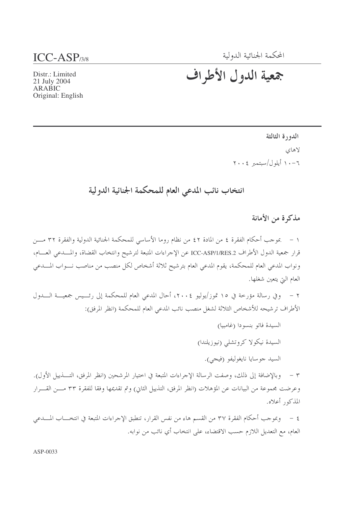### المحكمة الجنائية الدولية

# $ICC-ASP<sub>3/8</sub>$

# جمعية الدول الأطراف

Distr.: Limited 21 July 2004 ARABIC Original: English

> الدورة الثالثة لاهاي ١٠-١١ أيلول/سبتمبر ٢٠٠٤

# انتخاب نائب المدعى العام للمحكمة الجنائية الدولية

مذكرة من الأمانة

١ – بموجب أحكام الفقرة ٤ من المادة ٤٢ من نظام روما الأساسي للمحكمة الجنائية الدولية والفقرة ٣٢ مـــن قرار جمعية الدول الأطراف ICC-ASP/1/RES.2 عن الإحراءات المتبعة لترشيح وانتخاب القضاة، والمسدعي العسام، ونواب المدعى العام للمحكمة، يقوم المدعى العام بترشيح ثلاثة أشخاص لكل منصب من مناصب نـــواب المــــدعى العام التي يتعين شغلها.

٢ – وفي رسالة مؤرخة في ١٥ تموز/يوليو ٢٠٠٤، أحال المدعى العام للمحكمة إلى رئـــيس جمعيـــة الــــدول الأطراف ترشيحه للأشخاص الثلاثة لشغل منصب نائب المدعي العام للمحكمة (انظر المرفق):

> السيدة فاتو بنسودا (غامبيا) السيدة نيكولا كروتشلي (نيوزيلندا) السيد جو سايا نايغوليفو (فيجي).

٣ – وبالإضافة إلى ذلك، وصفت الرسالة الإحراءات المتبعة في اختيار المرشحين (انظر المرفق، التــــذييل الأول). وعرضت مجموعة من البيانات عن المؤهلات (انظر المرفق، التذييل الثاني) وتم تقديمها وفقا للفقرة ٣٣ مـــن القـــرار المذكور أعلاه.

٤ – وبموجب أحكام الفقرة ٣٧ من القسم هاء من نفس القرار، تنطبق الإجراءات المتبعة في انتخــــاب المـــــدعى العام، مع التعديل اللازم حسب الاقتضاء، على انتخاب أي نائب من نوابه.

 $ASP-0033$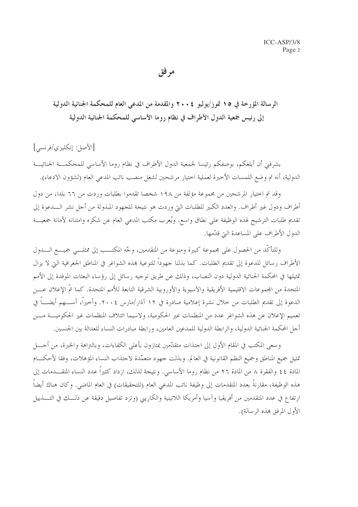مر فق

الرسالة المؤرخة في ١٥ قوز/يوليو ٢٠٠٤ والمقدمة من المدعى العام للمحكمة الجنائية الدولية إلى رئيس جمعية الدول الأطراف في نظام روما الأساسي للمحكمة الجنائية الدولية

[الأصل: إنكليزي/فرنسي]

يشرفني أن أبلغكم، بوصفكم رئيسا لجمعية الدول الأطراف في نظام روما الأساسي للمحكمـــة الجنائيـــة الدولية، أنه تم وضع اللمسات الأخيرة لعملية اختيار مرشحين لشغل منصب نائب المدعى العام (لشؤون الادعاء).

وقد تم احتيار المرشحين من مجموعة مؤلفة من ١٩٨ شخصا تقدموا بطلبات وردت من ٦٦ بلدا، من دول أطراف ودول غير أطراف. والعدد الكبير للطلبات التي وردت هو نتيجة للجهود المبذولة من أجل نشر الـــدعوة إلى تقديم طلبات الترشيح لهذه الوظيفة على نطاق واسع. ويُعرب مكتب المدعى العام عن شكره وامتنانه لأمانة جمعيـــة الدول الأطراف على المساعدة التي قدَّمها.

وللتأكَّد من الحصول على مجموعة كبيرة ومنوعة من المتقدمين، وجَّه المكتــب إلى ممثلــي جميـــع الــــدول الأطراف رسائل للدعوة إلى تقديم الطلبات. كما بذلنا جهوداً للتوعية بمذه الشواغر في المناطق الجغرافية التي لا يزال تمثيلها في المحكمة الجنائية الدولية دون النصاب، وذلك عن طريق توجيه رسائل إلى رؤساء البعثات الموفدة إلى الأمم المتحدة من المجموعات الاقليمية الأفريقية والآسيوية والأوروبية الشرقية التابعة للأمم المتحدة. كما تمّ الإعلان عـــن الدعوة إلى تقديم الطلبات من حلال نشرة إعلامية صادرة في ١٢ آذار/مارس ٢٠٠٤. وأخيراً، أســــهم أيضــــاً في تعميم الإعلان عن هذه الشواغر عدد من المنظمات غير الحكومية، ولاسيما ائتلاف المنظمات غير الحكوميـــة مـــن أجل المحكمة الجنائية الدولية، والرابطة الدولية للمدعين العامين، ورابطة مبادرات النساء للعدالة بين الجنسين.

وسعي المكتب في المقام الأول إلى احتذات متقدَّمين يمتازون بأعلى الكفاءات، وبالنزاهة والخبرة، من أجــــل تمثيل جميع المناطق وجميع النظم القانونية في العالم. وبذلت جهود متعمَّدة لاجتذاب النساء المؤهلات، وفقا لأحكسام المادة ٤٤ والفقرة ٨ من المادة ٢٦ من نظام روما الأساسي. ونتيجة لذلك، ازداد كثيراً عدد النساء المتقـــدمات إلى هذه الوظيفة، مقارنةً بعدد المتقدمات إلى وظيفة نائب المدعى العام (للتحقيقات) في العام الماضي. وكان هناك أيضاً ارتفاع في عدد المتقدمين من أفريقيا وآسيا وأمريكا اللاتينية والكاريبي (وترد تفاصيل دقيقة عن ذلـــك في التــــذييل الأول المرفق بهذه الرسالة).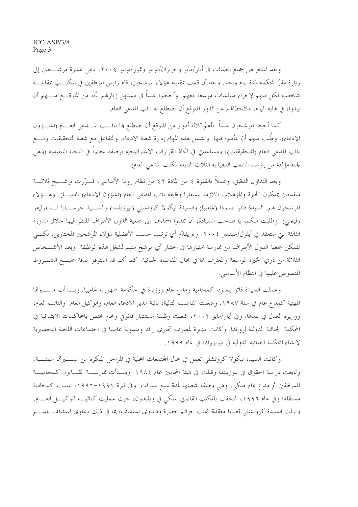وبعد استعراض جميع الطلبات في أيار/مايو وحزيران/يونيو وتموز/يوليو ٢٠٠٤، دعي عشرة مرشـــحين إلى زيارة مقرّ المحكمة لمدة يوم واحد. وبعد أن قمت بمقابلة هؤلاء المرشحين، قام رئيس الموظفين في المكتــب بمقابلـــة شخصية لكل منهم لإجراء مناقشات موسعة معهم. وأحيطوا علماً في مستهل زيارتمم بأنه من المتوقـــع منــــهم أن يبدوا، في نماية اليوم، ملاحظاهم عن الدور المتوقع أن يضطلع به نائب المدعى العام.

كما أحيط المرشحون علماً بأهمّ ثلاثة أدوار من المتوقع أن يضطلع ها نائـــب المــــدعي العــــام (لشــــؤون الادعاء)، وطُلب منهم أن يتأملوا فيها. وتشمل هذه المهام إدارة شعبة الادعاء، والتفاعل مع شعبة التحقيقات ومـــع نائب المدعى العام (للتحقيقات)، ومساعدتي في اتخاذ القرارات الاستراتيجية بوصفه عضواً في اللجنة التنفيذية (وهي لجنة مؤلفة من رؤساء الشعب التنفيذية الثلاث التابعة لمكتب المدعى العام).

وبعد التداول الدقيق، وعملاً بالفقرة ٤ من المادة ٤٢ من نظام روما الأساسي، قـــرّرت ترشـــيح ثلاثـــة متقدمين يملكون الخبرة والمؤهلات اللازمة ليشغلوا وظيفة نائب المدعى العام (لشؤون الادعاء) بامتيـــاز . وهـــؤلاء المرشحون هم: السيدة فاتو بنسودا (غامبيا) والسيدة نيكولا كروتشلي (نيوزيلندا) والســـيد جوســـايا نـــايغوليفو (فيجي). وطلبت منكم، يا صاحب السيادة، أن تنقلوا أسماءهم إلى جمعية الدول الأطراف للنظر فيها حلال الدورة الثالثة التي ستعقد في أيلول/سبتمبر ٢٠٠٤. و لم يقدَّم أي ترتيب حسب الأفضلية لهؤلاء المرشحين المختارين، لكسى تتمكن جمعية الدول الأطراف من ممارسة امتيازها في اختيار أي مرشح منهم لشغل هذه الوظيفة. ويعد الأشـــخاص الثلاثة من ذوي الخبرة الواسعة والمعترف بما في مجال المقاضاة الجنائية. كما أُلهم قد استوفوا بدقة جميـــع الشـــروط المنصوص عليها في النظام الأساسي.

وعملت السيدة فاتو بنسودا كمحامية ومدع عام ووزيرة في حكومة جمهورية غامبيا. وبـــدأت مســــيرقما المهنية كمدع عام في سنة ١٩٨٧. وشغلت المناصب التالية: نائبة مدير الادعاء العام، والوكيل العام والنائب العام، ووزيرة العدل في بلدها. وفي أيار/مايو ٢٠٠٢، شغلت وظيفة مستشار قانوني ومحام مختص بالمحاكمات الابتدائية في المحكمة الجنائية الدولية لرواندا. وكانت مديرة لمصرف تجاري رائد ومندوبة غامبيا في احتماعات اللحنة التحضيرية لإنشاء المحكمة الجنائية الدولية في نيويورك، في عام ١٩٩٩.

وكانت السيدة نيكولا كروتشلي تعمل في مجال المحتمعات المحلية في المراحل المبكرة من مســــيرقما المهنيــــة. وتابعت دراسة الحقوق في نيوزيلندا وقبلت في هيئة المحامين عام ١٩٨٤. وبـــدأت ممارســـة القــــانون كمحاميـــة للموظفين ثم مدع عام ملكي، وهي وظيفة شغلتها لمدة سبع سنوات. وفي فترة ١٩٩١–١٩٩٦، عملت كمحامية مستقلة؛ وفي عام ١٩٩٦، التحقت بالمكتب القانوين الملكي في ويلنغتون، حيث عمليت كنائبـــة للوكيــــل العــــام. وتولت السيدة كروتشلي قضايا معقدة شملت جرائم خطيرة ودعاوى استئناف، بما في ذلك دعاوى استئناف باســـم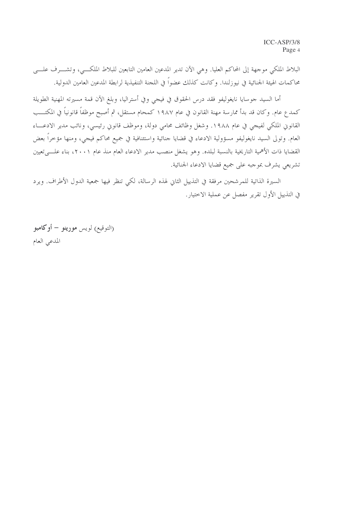البلاط الملكي موجهة إلى المحاكم العليا. وهي الآن تدير المدعين العامين التابعين للبلاط الملكــي، وتشـــرف علـــي محاكمات الهيئة الجنائية في نيوزلندا. وكانت كذلك عضواً في اللجنة التنفيذية لرابطة المدعين العامين الدولية.

أما السيد جوسايا نايغوليفو فقد درس الحقوق في فيجي وفي أستراليا، وبلغ الآن قمة مسيرته المهنية الطويلة كمدع عام. وكان قد بدأ ممارسة مهنة القانون في عام ١٩٨٧ كمحام مستقل، ثم أصبح موظفاً قانونياً في المكتــب القانوني الملكي لفيجي في عام ١٩٨٨. وشغل وظائف محامي دولة، وموظف قانوني رئيسي، ونائب مدير الادعـــاء العام. وتولى السيد نايغوليفو مسؤولية الادعاء في قضايا جنائية واستئنافية في جميع محاكم فيجي، ومنها مؤخراً بعض القضايا ذات الأهمية التاريخية بالنسبة لبلده. وهو يشغل منصب مدير الادعاء العام منذ عام ٢٠٠١، بناء علــــىتعيين تشريعي يشرف بموجبه على جميع قضايا الادعاء الجنائية.

السيرة الذاتية للمرشحين مرفقة في التذييل الثاني لهذه الرسالة، لكي تنظر فيها جمعية الدول الأطراف. ويرد في التذييل الأول تقرير مفصل عن عملية الاختيار.

(التوقيع) لويس **مورينو – أوكامبو** المدعى العام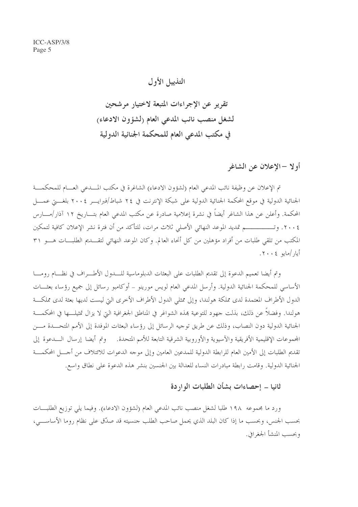التذييل الأول

تقرير عن الإجراءات المتبعة لاختيار مرشحين لشغل منصب نائب المدعى العام (لشؤون الادعاء) في مكتب المدعى العام للمحكمة الجنائية الدولية

أو لا –الإعلان عن الشاغر

تم الإعلان عن وظيفة نائب المدعى العام (لشؤون الادعاء) الشاغرة في مكتب المسدعي العسام للمحكمـــة الجنائية الدولية في موقع المحكمة الجنائية الدولية على شبكة الإنترنت في ٢٤ شباط/فيرايـــر ٢٠٠٤ بلغــــت عمــــل المحكمة. وأعلن عن هذا الشاغر أيضاً في نشرة إعلامية صادرة عن مكتب المدعى العام بتـــاريخ ١٢ آذار/مــــارس ٢٠٠٤. وتـــــــــــــم تمديد الموعد النهائي الأصلي ثلاث مرات، للتأكد من أن فترة نشر الإعلان كافية لتمكين المكتب من تلقى طلبات من أفراد مؤهلين من كل أنحاء العالم. وكان الموعد النهائي لتقــــديم الطلبــــات هــــو ٣١ أيار /مايو ٢٠٠٤.

وتم أيضا تعميم الدعوة إلى تقديم الطلبات على البعثات الدبلوماسية للسدول الأطـــراف في نظـــام رومــــا الأساسي للمحكمة الجنائية الدولية. وأرسل المدعى العام لويس مورينو – أوكامبو رسائل إلى جميع رؤساء بعثـــات الدول الأطراف المعتمدة لدى مملكة هولندا، وإلى ممثلي الدول الأطراف الأخرى التي ليست لديها بعثة لدى مملكة هولندا. وفضلاً عن ذلك، بذلت جهود للتوعية بمذه الشواغر في المناطق الجغرافية التي لا يزال تمثيلـــها في المحكمـــة الجنائية الدولية دون النصاب، وذلك عن طريق توجيه الرسائل إلى رؤساء البعثات الموفدة إلى الأمم المتحــدة مـــن المحموعات الإقليمية الأفريقية والآسيوية والأوروبية الشرقية التابعة للأمم المتحدة. ﴿ وَتُم أَيضًا ۚ إرسال السدعوة إلى تقديم الطلبات إلى الأمين العام للرابطة الدولية للمدعين العامين وإلى موجه الدعوات للائتلاف من أجـــل المحكمـــة الجنائية الدولية. وقامت رابطة مبادرات النساء للعدالة بين الجنسين بنشر هذه الدعوة على نطاق واسع.

ثانيا – إحصاءات بشأن الطلبات الواردة

ورد ما مجموعه ١٩٨ طلبا لشغل منصب نائب المدعى العام (لشؤون الادعاء). وفيما يلي توزيع الطلبـــات بحسب الجنس، وبحسب ما إذا كان البلد الذي يحمل صاحب الطلب حنسيته قد صدّق على نظام روما الأساســـي، وبحسب المنشأ الجغرافي.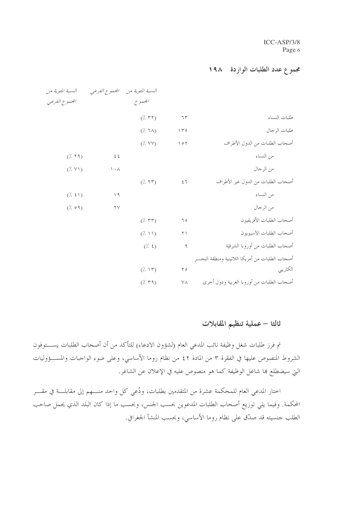### مجموع عدد الطلبات الواردة ١٩٨

|                                                   |                             |                     |                          | النسبة المئوية من         |
|---------------------------------------------------|-----------------------------|---------------------|--------------------------|---------------------------|
|                                                   |                             | المجموع             |                          | الجعموع الفرعبي           |
| طلبات النساء                                      | 77                          | $(\frac{7}{7}, 77)$ |                          |                           |
| طلبات الرجال                                      | 150                         | $(\lambda$ 7A)      |                          |                           |
| أصحاب الطلبات من الدول الأطراف                    | $\backslash$ 0 $\backslash$ | $(\frac{7}{2}$ YY)  |                          |                           |
| من النساء                                         |                             |                     | $\xi$ $\xi$              | (7.79)                    |
| من الرجال                                         |                             |                     | $\setminus \cdot \wedge$ | $(\frac{1}{2}, \sqrt{1})$ |
| أصحاب الطلبات من الدول غير الأطراف                | 57                          | (7.55)              |                          |                           |
| من النساء                                         |                             |                     | $\setminus$ 9            | (7.5)                     |
| من الرجال                                         |                             |                     | $\mathbf{Y} \mathbf{V}$  | (7.09)                    |
| أصحاب الطلبات الأفريقيون                          | 70                          | $(\cdot, \tau\tau)$ |                          |                           |
| أصحاب الطلبات الآسيويون                           | $\uparrow$ $\uparrow$       | (7.11)              |                          |                           |
| أصحاب الطلبات من أوروبا الشرقية                   | ٩                           | $(\frac{7}{2}, 5)$  |                          |                           |
| أصحاب الطلبات من أمريكا اللاتينية ومنطقة البحـــر |                             |                     |                          |                           |
| الكاريبي                                          | $\Upsilon$                  | (7.15)              |                          |                           |
| أصحاب الطلبات من أوروبا الغربية ودول أخرى         | ٧٨                          | (7.79)              |                          |                           |

# ثالثا – عملية تنظيم المقابلات

تم فرز طلبات شغل وظيفة نائب المدعى العام (لشؤون الادعاء) للتأكد من أن أصحاب الطلبات يستوفون الشروط المنصوص عليها في الفقرة ٣ من المادة ٤٢ من نظام روما الأساسي، وعلى ضوء الواجبات والمســـؤوليات التي سيضطلع ها شاغل الوظيفة كما هو منصوص عليه في الإعلان عن الشاغر.

اختار المدعى العام للمحكمة عشرة من المتقدمين بطلبات، ودُعي كل واحد منــــهم إلى مقابلــــة في مقــــر المحكمة. وفيما يلي توزيع أصحاب الطلبات المدعوين بحسب الجنس، وبحسب ما إذا كان البلد الذي يحمل صاحب الطلب جنسيته قد صدّق على نظام روما الأساسي، وبحسب المنشأ الجغرافي.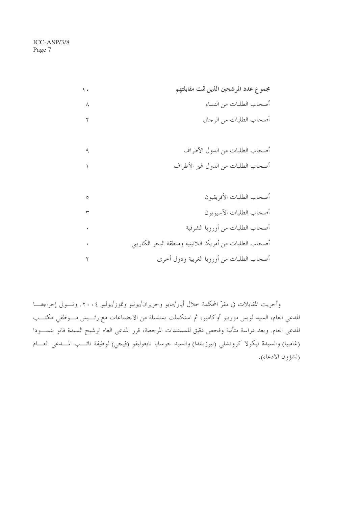|          | مجموع عدد المرشحين الذين تمت مقابلتهم                   |
|----------|---------------------------------------------------------|
| $\wedge$ | أصحاب الطلبات من النساء                                 |
|          | أصحاب الطلبات من الرجال                                 |
|          |                                                         |
|          | أصحاب الطلبات من الدول الأطراف                          |
|          | أصحاب الطلبات من الدول غير الأطراف                      |
|          |                                                         |
| ٥        | أصحاب الطلبات الأفريقيون                                |
|          | أصحاب الطلبات الآسيويون                                 |
|          | أصحاب الطلبات من أوروبا الشرقية                         |
|          | أصحاب الطلبات من أمريكا اللاتينية ومنطقة البحر الكاريبي |
|          | أصحاب الطلبات من أوروبا الغربية ودول أخرى               |

وأجريت المقابلات في مقرّ المحكمة خلال أيار/مايو وحزيران/يونيو وتموز/يوليو ٢٠٠٤. وتـــولى إجراءهــــا المدعي العام، السيد لويس مورينو أوكامبو، ثم استكملت بسلسلة من الاحتماعات مع رئـــيس مـــوظفي مكتـــب المدعي العام. وبعد دراسة متأنية وفحص دقيق للمستندات المرجعية، قرر المدعي العام ترشيح السيدة فاتو بنســــودا (غامبيا) والسيدة نيكولا كروتشلي (نيوزيلندا) والسيد جوسايا نايغوليفو (فيجي) لوظيفة نائـــب المـــدعى العـــام (لشؤون الادعاء).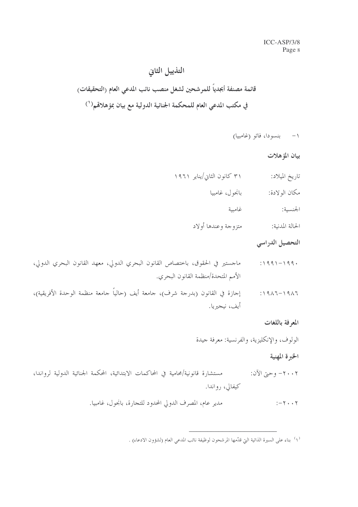# التذييل الثانى قائمة مصنفة أبجدياً للمرشحين لشغل منصب نائب المدعى العام (التحقيقات) في مكتب المدعى العام للمحكمة الجنائية الدولية مع بيان بمؤ هلاڤم( ' )

١- بنسودا، فاتو (غامبيا)

بيان المؤهلات

- ۳۱ کانون الثانی/ینایر ۱۹۶۱ تاريخ الميلاد:
	- بانجو ل، غامبيا مكان الولادة:
		- الجنسية: غامىية
	- متزوجة وعندها أولاد الحالة المدنية:

التحصيل الدراسي

- ماجستير في الحقوق، باختصاص القانون البحري الدولي، معهد القانون البحري الدولي،  $:1991 - 199.$ الأمم المتحدة/منظمة القانون البحري.
- إجازة في القانون (بدرجة شرف)، جامعة أيف (حالياً جامعة منظمة الوحدة الأفريقية)،  $:1917 - 1917$ أيف، نيجيريا.

المعرفة باللغات

الولوف، والإنكليزية، والفرنسية: معرفة جيدة

الخبرة المهنية

- مستشارة قانونية/محامية في المحاكمات الابتدائية، المحكمة الجنائية الدولية لرواندا، ٢٠٠٢- وحيّ الآن: کیفالی، , واندا.
	- مدير عام، المصرف الدولي المحدود للتجارة، بانجول، غامبيا.  $:-\tau \cdot \cdot \tau$

(١) بناء على السيرة الذاتية التي قدَّمها المرشحون لوظيفة نائب المدعى العام (لشؤون الادعاء) .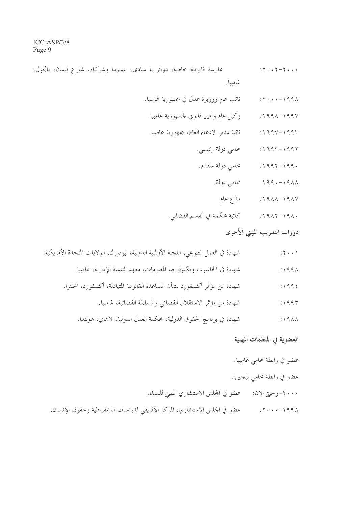ممارسة قانونية حاصة، دوائر يا سادي، بنسودا وشركاه، شارع ليمان، بانجول،  $:Y \cdot Y - Y \cdot \cdot \cdot$ غامبيا.

- نائب عام ووزيرة عدل في جمهورية غامبيا.  $:Y \cdot \cdot \cdot - \setminus 99\land$
- وكيل عام وأمين قانوني لجمهورية غامبيا.  $:1991 - 1991$
- نائبة مدير الادعاء العام، جمهورية غامبيا.  $\therefore$   $\vee$   $\vee$   $\vee$   $\vee$   $\vee$   $\vee$   $\vee$   $\vee$   $\vee$ 
	- محامي دولة رئيسي.  $:1997 - 1997$
	- محامى دولة متقدم.  $:1997 - 199.$ 
		- محامى دولة.  $199 - 1911$ 
			- ۱۹۸۷–۱۹۸۸: مدّع عام
	- ١٩٨٠–١٩٨٢: كاتبة محكمة في القسم القضائي.

## دورات التدريب المهنى الأحرى

| $: \mathbf{Y} \rightarrow \mathbf{Y}$ | شهادة في العمل الطوعي، اللجنة الأولمبية الدولية، نيويورك، الولايات المتحدة الأمريكية. |
|---------------------------------------|---------------------------------------------------------------------------------------|
| $: \Delta$                            | شهادة في الحاسوب وتكنولوجيا المعلومات، معهد التنمية الإدارية، غامبيا.                 |
| : 1995                                | شهادة من مؤتمر أكسفورد بشأن المساعدة القانونية المتبادلة، أكسفورد، انجلترا.           |
| : 1995                                | شهادة من مؤتمر الاستقلال القضائي والمساءلة القضائية، غامبيا.                          |
| $: \Delta$                            | شهادة في برنامج الحقوق الدولية، محكمة العدل الدولية، لاهاي، هولندا.                   |
| العضوية في المنظمات المهنية           |                                                                                       |
| عضو في رابطة محامي غامبيا.            |                                                                                       |
| عضو في رابطة محامي نيجيريا.           |                                                                                       |

٢٠٠٠-وحتى الآن: عضو في المجلس الاستشاري المهين للنساء.

١٩٩٨–٢٠٠٠: عضو في المحلس الاستشاري، المركز الأفريقي لدراسات الديمقراطية وحقوق الإنسان.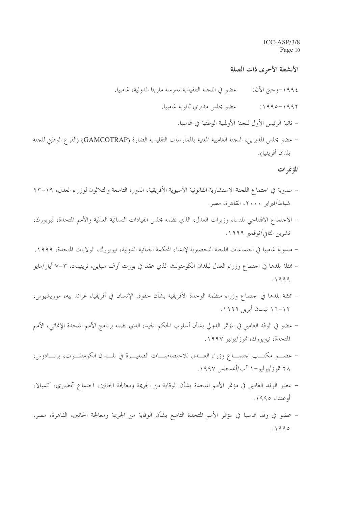الأنشطة الأخرى ذات الصلة

- عضو في اللجنة التنفيذية لمدرسة مارينا الدولية، غامبيا. ١٩٩٤–وحيّ الآن:
	- عضو مجلس مديري ثانوية غامبيا.  $:1990 - 1997$ 
		- نائبة الرئيس الأول للجنة الأولمبية الوطنية في غامبيا.
- عضو مجلس المديرين، اللجنة الغامبية المعنية بالممارسات التقليدية الضارة (GAMCOTRAP) (الفرع الوطني للجنة بلدان أفريقيا).

المؤتمرات

- مندوبة في احتماع اللجنة الاستشارية القانونية الآسيوية الأفريقية، الدورة التاسعة والثلاثون لوزراء العدل، ١٩–٢٣ شباط/فبراير ۲۰۰۰، القاهرة، مصر.
- الاجتماع الافتتاحي للنساء وزيرات العدل، الذي نظمه مجلس القيادات النسائية العالمية والأمم المتحدة، نيويورك، تشرين الثاني/نوفمبر ١٩٩٩.
- مندوبة غامبيا في اجتماعات اللجنة التحضيرية لإنشاء المحكمة الجنائية الدولية، نيويورك، الولايات المتحدة، ١٩٩٩.
- − ممثلة بلدها في اجتماع وزراء العدل لبلدان الكومنولث الذي عقد في بورت أوف سباين، ترينيداد، ٣–٧ أيار/مايو  $.1999$
- ممثلة بلدها في احتماع وزراء منظمة الوحدة الأفريقية بشأن حقوق الإنسان في أفريقيا، غراند بيه، موريشيوس، ۰۱۹۹۹ نیسان أبریل ۱۹۹۹.
- عضو في الوفد الغامبي في المؤتمر الدولي بشأن أسلوب الحكم الجيد، الذي نظمه برنامج الأمم المتحدة الإنمائي، الأمم المتحدة، نيويورك، تموز/يوليو ١٩٩٧.
- عضـــو مكتـــب احتمــــاع وزراء العــــدل للاختصاصـــات الصغيـــرة في بلـــدان الكومنلـــوث، بربــــادوس، ٢٨ تموز/يوليو -١ آب/أغسطس ١٩٩٧.
- عضو الوفد الغامبي في مؤتمر الأمم المتحدة بشأن الوقاية من الجريمة ومعالجة الجانين، احتماع تحضيري، كمبالا، أوغندا، ١٩٩٥.
- عضو في وفد غامبيا في مؤتمر الأمم المتحدة التاسع بشأن الوقاية من الجريمة ومعالجة الجانين، القاهرة، مصر،  $.1990$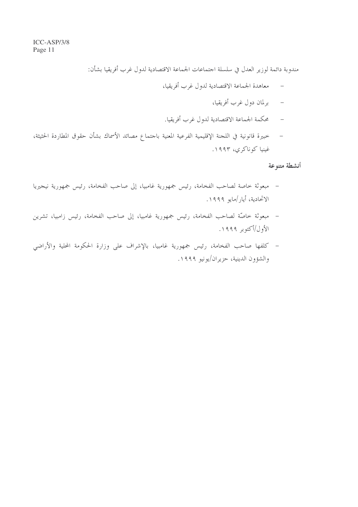مندوبة دائمة لوزير العدل في سلسلة اجتماعات الجماعة الاقتصادية لدول غرب أفريقيا بشأن:

- معاهدة الجماعة الاقتصادية لدول غرب أفريقيا،  $\sim$   $-$ 
	- برلمان دول غرب أفريقيا،
- محكمة الجماعة الاقتصادية لدول غرب أفريقيا.
- خبيرة قانونية في اللجنة الإقليمية الفرعية المعنية باجتماع مصائد الأسماك بشأن حقوق المطاردة الحثيثة،  $\overline{a}$ غينيا كوناكري، ١٩٩٣.

أنشطة متنوعة

- مبعوثة خاصة لصاحب الفخامة، رئيس جمهورية غامبيا، إلى صاحب الفخامة، رئيس جمهورية نيجيريا الاتحادية، أيار/مايو ١٩٩٩.
- مبعوثة خاصَّة لصاحب الفخامة، رئيس جمهورية غامبيا، إلى صاحب الفخامة، رئيس زامبيا، تشرين الأول/أكتوبر ١٩٩٩.
- كلفها صاحب الفخامة، رئيس جمهورية غامبيا، بالإشراف على وزارة الحكومة المحلية والأراضي والشؤون الدينية، حزيران/يونيو ١٩٩٩.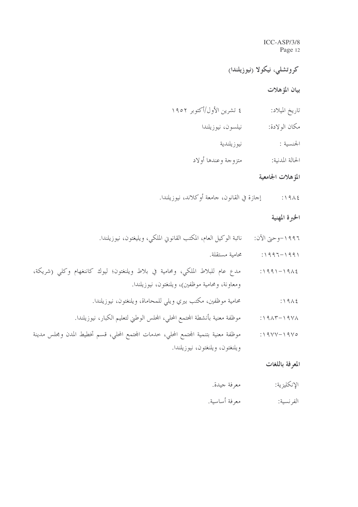## کروتشلی، نیکولا (نیوزیلندا)

### بيان المؤهلات

|  | ٤ تشرين الأول/أكتوبر ١٩٥٢ | تاريخ الميلاد: |
|--|---------------------------|----------------|
|--|---------------------------|----------------|

- نيلسون، نيوزيلندا مكان الولادة:
	- نيو زيلندية الجنسية :
- متزوجة وعندها أولاد الحالة المدنية:

#### المؤهلات الجامعية

إجازة في القانون، جامعة أوكلاند، نيوزيلندا.  $:1912$ 

#### الخبرة المهنية

- نائبة الوكيل العام، المكتب القانوين الملكي، ويليغتون، نيوزيلندا. ١٩٩٦–وحتى الآن:
	- ١٩٩١–١٩٩٦: مستقلة.
- ١٩٨٤–١٩٩١: مدع عام للبلاط الملكي، ومحامية في بلاط ويلنغتون؛ ليوك كاننغهام وكلي (شريكة، ومعاونة، ومحامية موظفين)، ويلنغتون، نيوزيلندا.
	- محامية موظفين، مكتب بيري ويلي للمحاماة، ويلنغتون، نيوزيلندا.  $:1912$
	- موظفة معنية بأنشطة المجتمع المحلي، المجلس الوطني لتعليم الكبار، نيوزيلندا.  $\cdot$ 1915-1971
- موظفة معنية بتنمية المجتمع المحلي، خدمات المجتمع المحلي، قسم تخطيط المدن ومجلس مدينة  $:19YY-19Y0$ ويلنغتون، ويلنغتون، نيوزيلندا.

#### المعرفة باللغات

- الإنكليزية: معرفة جيدة.
- معرفة أساسية. الفر نسية: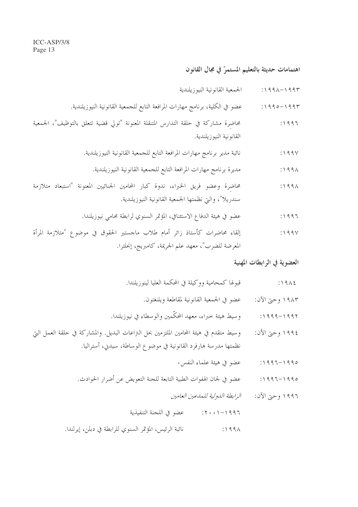اهتمامات حديثة بالتعليم المستمرّ في مجال القانون

- الجمعية القانونية النيوزيلندية  $:199 \wedge -199$
- عضو في الكلية، برنامج مهارات المرافعة التابع للجمعية القانونية النيوزيلندية.  $: 1990 - 1997$
- محاضرة مشاركة في حلقة التدارس المتنقلة المعنونة "تولى قضية تتعلق بالتوظيف"، الجمعية  $:1997$ القانو نية النيوز يلندية.
	- نائبة مدير برنامج مهارات المرافعة التابع للحمعية القانونية النيوزيلندية.  $:199V$ 
		- مديرة برنامج مهارات المرافعة التابع للجمعية القانونية النيوزيلندية.  $:199\text{\AA}$
- محاضرة وعضو فريق الخبراء، ندوة كبار المحامين الجنائيين المعنونة "استبعاد متلازمة  $:1991$ سندريلا"، والتي نظمتها الجمعية القانونية النيوزيلندية.
	- عضو في هيئة الدفاع الاستئنافي، المؤتمر السنوي لرابطة محامى نيوزيلندا.  $31997$
- إلقاء محاضرات كأستاذ زائر أمام طلاب ماجستير الحقوق في موضوع "متلازمة المرأة  $:199V$ المعرضة للضرب"، معهد علم الجريمة، كامبريج، إنجلترا.

#### العضوية في الرابطات المهنية

- قبولها كمحامية ووكيلة في المحكمة العليا لينوزيلندا.  $:1912$ 
	- ١٩٨٣ وحيِّ الآن: عضو في الجمعية القانونية لمقاطعة ويلنغتون.
- و سيط هيئة خبراء، معهد المحكَّمين والوسطاء في نيوزيلندا.  $: 1999 - 1997$
- وسيط متقدم في هيئة المحامين الملتزمين بحل التزاعات البديل. والمشاركة في حلقة العمل التي ١٩٩٤ وحيّ الأن: نظمتها مدرسة هارفرد القانونية في موضوع الوساطة، سيدني، أستراليا.
	- عضو في هيئة علماء النفس .  $:1997 - 1990$
	- عضوٍ في لجان الهفوات الطبية التابعة للجنة التعويض عن أضرار الحوادث.  $:1997 - 1990$ 
		- الرابطة الدولية للمدعين العامين ١٩٩٦ وحتى الآن:
		- ١٩٩٦-٢٠٠١: عضو في اللجنة التنفيذية
	- نائبة الرئيس، المؤتمر السنوي للرابطة في دبلن، إيرلندا.  $\therefore$  1991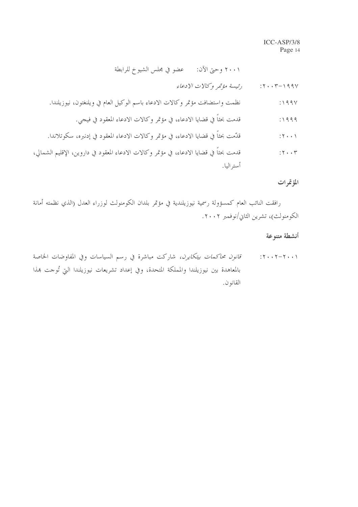قدمت بحثاً في قضايا الادعاء، في مؤتمر وكالات الادعاء المعقود في فيجي.  $:1999$ 

قدمت بحثاً في قضايا الادعاء، في مؤتمر وكالات الادعاء المعقود في داروين، الإقليم الشمالي،  $:Y \cdot Y$ أستر اليا.

المؤتمرات

رافقت النائب العام كمسؤولة رسمية نيوزيلندية في مؤتمر بلدان الكومنولث لوزراء العدل (الذي نظمته أمانة الكومنولث)، تشرين الثاني/نوفمبر ٢٠٠٢.

#### أنشطة متنوعة

۲۰۰۱–۲۰۰۲: ق*انون محاكمات بيتكايرن*، شاركت مباشرة في رسم السياسات وفي المفاوضات الخاصة بالمعاهدة بين نيوزيلندا والمملكة المتحدة، وفي إعداد تشريعات نيوزيلندا التي تُوحت هذا القانو ن.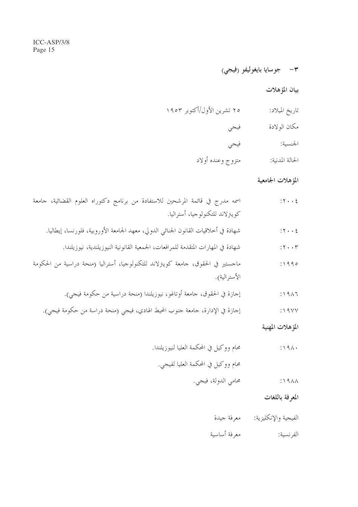$$
(\underbrace{\bullet\bullet\bullet}_{\bullet\bullet}\circ\underbrace{\bullet\bullet\bullet}_{\bullet\bullet}\circ\underbrace{\bullet\bullet\bullet}_{\bullet\bullet}\circ\underbrace{\bullet\bullet\bullet}_{\bullet\bullet}\circ\underbrace{\bullet\bullet\bullet}_{\bullet\bullet}\circ\underbrace{\bullet\bullet\bullet}_{\bullet\bullet}\circ\underbrace{\bullet\bullet\bullet}_{\bullet\bullet}\circ\underbrace{\bullet\bullet\bullet}_{\bullet\bullet}\circ\underbrace{\bullet\bullet\bullet}_{\bullet\bullet}\circ\underbrace{\bullet\bullet\bullet}_{\bullet\bullet}\circ\underbrace{\bullet\bullet\bullet}_{\bullet\bullet}\circ\underbrace{\bullet\bullet\bullet}_{\bullet\bullet}\circ\underbrace{\bullet\bullet\bullet}_{\bullet\bullet}\circ\underbrace{\bullet\bullet\bullet}_{\bullet\bullet}\circ\underbrace{\bullet\bullet\bullet}_{\bullet\bullet}\circ\underbrace{\bullet\bullet\bullet}_{\bullet\bullet}\circ\underbrace{\bullet\bullet\bullet}_{\bullet\bullet}\circ\underbrace{\bullet\bullet\bullet}_{\bullet\bullet}\circ\underbrace{\bullet\bullet\bullet}_{\bullet\bullet}\circ\underbrace{\bullet\bullet\bullet}_{\bullet\bullet}\circ\underbrace{\bullet\bullet\bullet}_{\bullet\bullet}\circ\underbrace{\bullet\bullet\bullet}_{\bullet\bullet}\circ\underbrace{\bullet\bullet\bullet}_{\bullet\bullet}\circ\underbrace{\bullet\bullet\bullet}_{\bullet\bullet}\circ\underbrace{\bullet\bullet\bullet}_{\bullet\bullet}\circ\underbrace{\bullet\bullet\bullet}_{\bullet\bullet}\circ\underbrace{\bullet\bullet\bullet}_{\bullet\bullet}\circ\underbrace{\bullet\bullet\bullet}_{\bullet\bullet}\circ\underbrace{\bullet\bullet\bullet}_{\bullet\bullet}\circ\underbrace{\bullet\bullet\bullet}_{\bullet\bullet}\circ\underbrace{\bullet\bullet\bullet}_{\bullet\bullet}\circ\underbrace{\bullet\bullet\bullet}_{\bullet\bullet}\circ\underbrace{\bullet\bullet\bullet}_{\bullet\bullet}\circ\underbrace{\bullet\bullet\bullet}_{\bullet\bullet}\circ\underbrace{\bullet\bullet\bullet}_{\bullet\bullet}\circ\underbrace{\bullet\bullet\bullet\bullet}_{\bullet\bullet}\circ\underbrace{\bullet\bullet\bullet\bullet}_{\bullet\bullet}\circ\underbrace{\bullet\bullet\bullet\bullet}_{\bullet\bullet}\circ\underbrace{\bullet\bullet\bullet\bullet}_{\bullet\bullet}\circ\underbrace{\bullet\bullet\bullet\bullet}_{\bullet\bullet}\circ\underbrace{\bullet\bullet\bullet\bullet}_{\bullet\bullet}\circ\underbrace{\bullet\bullet\bullet\bullet}_{\bullet\bullet}\circ\underbrace{\bullet\bullet\bullet\bullet}_{\bullet\bullet}\circ\underbrace{\bullet\bullet\bullet\bullet}_{\bullet\bullet}\circ\underbrace{\bullet\bullet\bullet\bullet}_{\bullet\bullet}\circ\underbrace{\bullet\bullet\bullet\bullet}_{\bullet\bullet}\circ
$$

بيان المؤهلات

| ٢٥ تشرين الأول/أكتوبر ١٩٥٣<br>تاريخ الميلاد: |  |
|----------------------------------------------|--|
|----------------------------------------------|--|

- مكان الولادة فيجي
- الجنسية: فيجي
- متزوج وعنده أولاد الحالة المدنية:

# المؤهلات الجامعية

| اسمه مدرج في قائمة المرشحين للاستفادة من برنامج دكتوراه العلوم القضائية، جامعة      | $: \mathbf{Y} \cdot \cdot \mathbf{E}$ |
|-------------------------------------------------------------------------------------|---------------------------------------|
| كويترلاند للتكنولوجيا، أستراليا.                                                    |                                       |
| شهادة في أخلاقيات القانون الجنائي الدولي، معهد الجامعة الأوروبية، فلورنسا، إيطاليا. | $: \mathbf{Y} \cdot \cdot \mathbf{E}$ |
| شهادة في المهارات المتقدمة للمرافعات، الجمعية القانونية النيوزيلندية، نيوزيلندا.    | $: \mathbf{Y} \cdot \cdot \mathbf{Y}$ |
| ماجستير في الحقوق، جامعة كويترلاند للتكنولوجيا، أستراليا (منحة دراسية من الحكومة    | : 1990                                |
| الأسترالية).                                                                        |                                       |
| إجازة في الحقوق، جامعة أوتاغو، نيوزيلندا (منحة دراسية من حكومة فيجي).               | $: \Delta$                            |
| إجازة في الإدارة، جامعة جنوب المحيط الهادي، فيجي (منحة دراسة من حكومة فيجي).        | $: \wedge \wedge \vee \vee$           |

المؤهلات المهنية

- محام ووكيل في المحكمة العليا لنيوزيلندا.  $:191.$ محام ووكيل في المحكمة العليا لفيجي.
	- محامي الدولة، فيجي.  $:19\AA$

المعرفة باللغات

- الفيجية والإنكليزية: معرفة جيدة
- معرفة أساسية الفرنسية: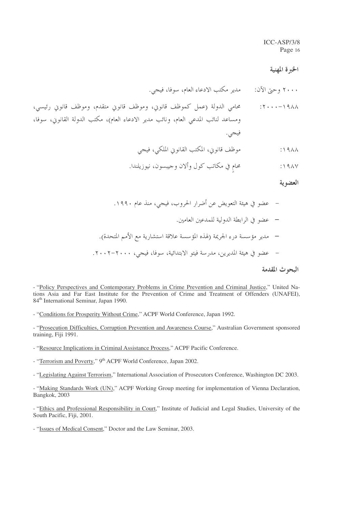#### الخبرة المهنية

محامٍ في مكاتب كول وألان وجيبسون، نيوزيلندا.  $:19AY$ 

#### العضوية

البحوث المقدمة

- "Resource Implications in Criminal Assistance Process," ACPF Pacific Conference.
- "Terrorism and Poverty," 9<sup>th</sup> ACPF World Conference, Japan 2002.

 $\epsilon$ 

 $\epsilon$ 

- "Legislating Against Terrorism," International Association of Prosecutors Conference, Washington DC 2003.

- "Issues of Medical Consent," Doctor and the Law Seminar, 2003.

<sup>- &</sup>quot;Policy Perspectives and Contemporary Problems in Crime Prevention and Criminal Justice," United Nations Asia and Far East Institute for the Prevention of Crime and Treatment of Offenders (UNAFEI), 84<sup>th</sup> International Seminar, Japan 1990.

<sup>- &</sup>quot;Conditions for Prosperity Without Crime," ACPF World Conference, Japan 1992.

<sup>- &</sup>quot;Prosecution Difficulties, Corruption Prevention and Awareness Course," Australian Government sponsored training, Fiji 1991.

<sup>- &</sup>quot;Making Standards Work (UN)," ACPF Working Group meeting for implementation of Vienna Declaration, Bangkok, 2003

<sup>- &</sup>quot;Ethics and Professional Responsibility in Court," Institute of Judicial and Legal Studies, University of the South Pacific, Fiji, 2001.